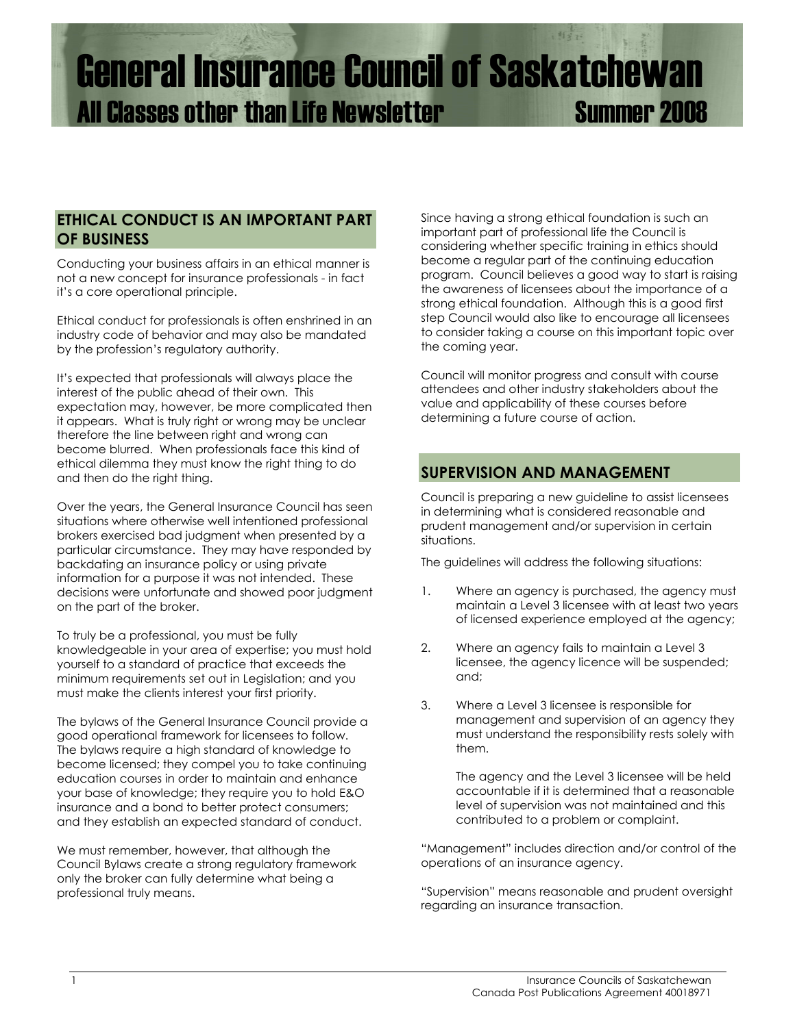# General Insurance Council of Saskatchewan All Classes other than Life Newsletter Summer 2008

#### **ETHICAL CONDUCT IS AN IMPORTANT PART OF BUSINESS**

Conducting your business affairs in an ethical manner is not a new concept for insurance professionals - in fact it's a core operational principle.

Ethical conduct for professionals is often enshrined in an industry code of behavior and may also be mandated by the profession's regulatory authority.

It's expected that professionals will always place the interest of the public ahead of their own. This expectation may, however, be more complicated then it appears. What is truly right or wrong may be unclear therefore the line between right and wrong can become blurred. When professionals face this kind of ethical dilemma they must know the right thing to do and then do the right thing.

Over the years, the General Insurance Council has seen situations where otherwise well intentioned professional brokers exercised bad judgment when presented by a particular circumstance. They may have responded by backdating an insurance policy or using private information for a purpose it was not intended. These decisions were unfortunate and showed poor judgment on the part of the broker.

To truly be a professional, you must be fully knowledgeable in your area of expertise; you must hold yourself to a standard of practice that exceeds the minimum requirements set out in Legislation; and you must make the clients interest your first priority.

The bylaws of the General Insurance Council provide a good operational framework for licensees to follow. The bylaws require a high standard of knowledge to become licensed; they compel you to take continuing education courses in order to maintain and enhance your base of knowledge; they require you to hold E&O insurance and a bond to better protect consumers; and they establish an expected standard of conduct.

We must remember, however, that although the Council Bylaws create a strong regulatory framework only the broker can fully determine what being a professional truly means.

Since having a strong ethical foundation is such an important part of professional life the Council is considering whether specific training in ethics should become a regular part of the continuing education program. Council believes a good way to start is raising the awareness of licensees about the importance of a strong ethical foundation. Although this is a good first step Council would also like to encourage all licensees to consider taking a course on this important topic over the coming year.

Council will monitor progress and consult with course attendees and other industry stakeholders about the value and applicability of these courses before determining a future course of action.

## **SUPERVISION AND MANAGEMENT**

Council is preparing a new guideline to assist licensees in determining what is considered reasonable and prudent management and/or supervision in certain situations.

The guidelines will address the following situations:

- 1. Where an agency is purchased, the agency must maintain a Level 3 licensee with at least two years of licensed experience employed at the agency;
- 2. Where an agency fails to maintain a Level 3 licensee, the agency licence will be suspended; and;
- 3. Where a Level 3 licensee is responsible for management and supervision of an agency they must understand the responsibility rests solely with them.

 The agency and the Level 3 licensee will be held accountable if it is determined that a reasonable level of supervision was not maintained and this contributed to a problem or complaint.

"Management" includes direction and/or control of the operations of an insurance agency.

"Supervision" means reasonable and prudent oversight regarding an insurance transaction.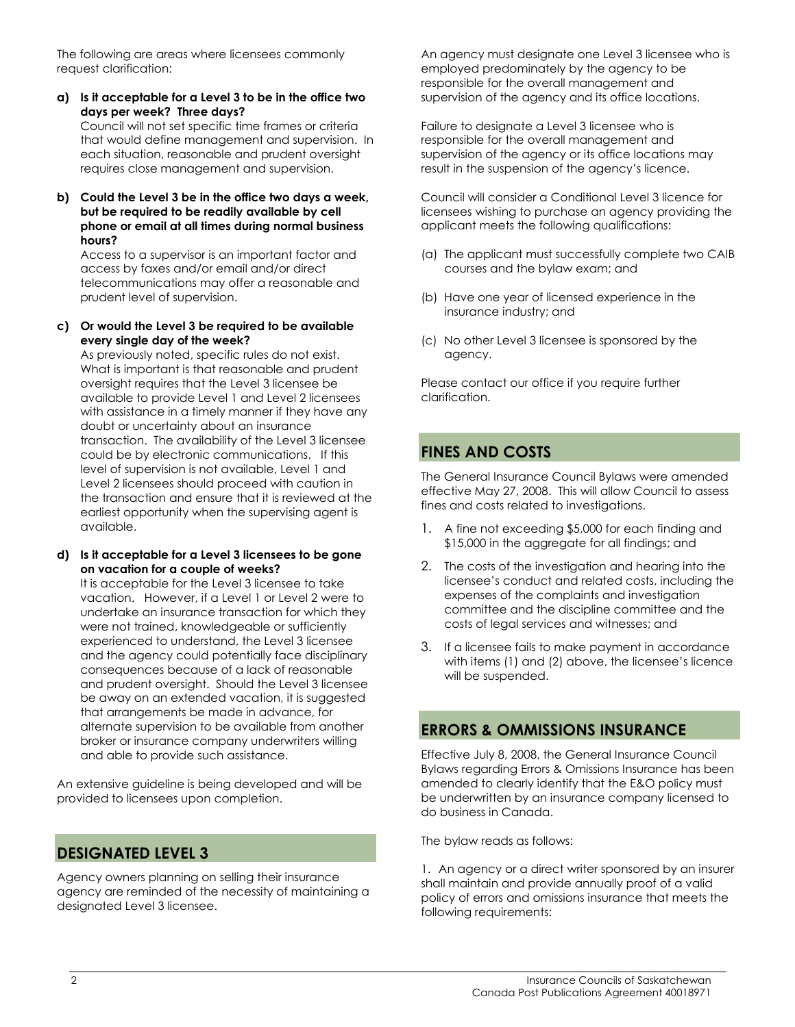The following are areas where licensees commonly request clarification:

**a) Is it acceptable for a Level 3 to be in the office two days per week? Three days?** 

 Council will not set specific time frames or criteria that would define management and supervision. In each situation, reasonable and prudent oversight requires close management and supervision.

**b) Could the Level 3 be in the office two days a week, but be required to be readily available by cell phone or email at all times during normal business hours?** 

Access to a supervisor is an important factor and access by faxes and/or email and/or direct telecommunications may offer a reasonable and prudent level of supervision.

#### **c) Or would the Level 3 be required to be available every single day of the week?**

 As previously noted, specific rules do not exist. What is important is that reasonable and prudent oversight requires that the Level 3 licensee be available to provide Level 1 and Level 2 licensees with assistance in a timely manner if they have any doubt or uncertainty about an insurance transaction. The availability of the Level 3 licensee could be by electronic communications. If this level of supervision is not available, Level 1 and Level 2 licensees should proceed with caution in the transaction and ensure that it is reviewed at the earliest opportunity when the supervising agent is available.

#### **d) Is it acceptable for a Level 3 licensees to be gone on vacation for a couple of weeks?**

 It is acceptable for the Level 3 licensee to take vacation. However, if a Level 1 or Level 2 were to undertake an insurance transaction for which they were not trained, knowledgeable or sufficiently experienced to understand, the Level 3 licensee and the agency could potentially face disciplinary consequences because of a lack of reasonable and prudent oversight. Should the Level 3 licensee be away on an extended vacation, it is suggested that arrangements be made in advance, for alternate supervision to be available from another broker or insurance company underwriters willing and able to provide such assistance.

An extensive guideline is being developed and will be provided to licensees upon completion.

# **DESIGNATED LEVEL 3**

Agency owners planning on selling their insurance agency are reminded of the necessity of maintaining a designated Level 3 licensee.

An agency must designate one Level 3 licensee who is employed predominately by the agency to be responsible for the overall management and supervision of the agency and its office locations.

Failure to designate a Level 3 licensee who is responsible for the overall management and supervision of the agency or its office locations may result in the suspension of the agency's licence.

Council will consider a Conditional Level 3 licence for licensees wishing to purchase an agency providing the applicant meets the following qualifications:

- (a) The applicant must successfully complete two CAIB courses and the bylaw exam; and
- (b) Have one year of licensed experience in the insurance industry; and
- (c) No other Level 3 licensee is sponsored by the agency.

Please contact our office if you require further clarification.

# **FINES AND COSTS**

The General Insurance Council Bylaws were amended effective May 27, 2008. This will allow Council to assess fines and costs related to investigations.

- 1. A fine not exceeding \$5,000 for each finding and \$15,000 in the aggregate for all findings; and
- 2. The costs of the investigation and hearing into the licensee's conduct and related costs, including the expenses of the complaints and investigation committee and the discipline committee and the costs of legal services and witnesses; and
- 3. If a licensee fails to make payment in accordance with items (1) and (2) above, the licensee's licence will be suspended.

# **ERRORS & OMMISSIONS INSURANCE**

Effective July 8, 2008, the General Insurance Council Bylaws regarding Errors & Omissions Insurance has been amended to clearly identify that the E&O policy must be underwritten by an insurance company licensed to do business in Canada.

The bylaw reads as follows:

1. An agency or a direct writer sponsored by an insurer shall maintain and provide annually proof of a valid policy of errors and omissions insurance that meets the following requirements: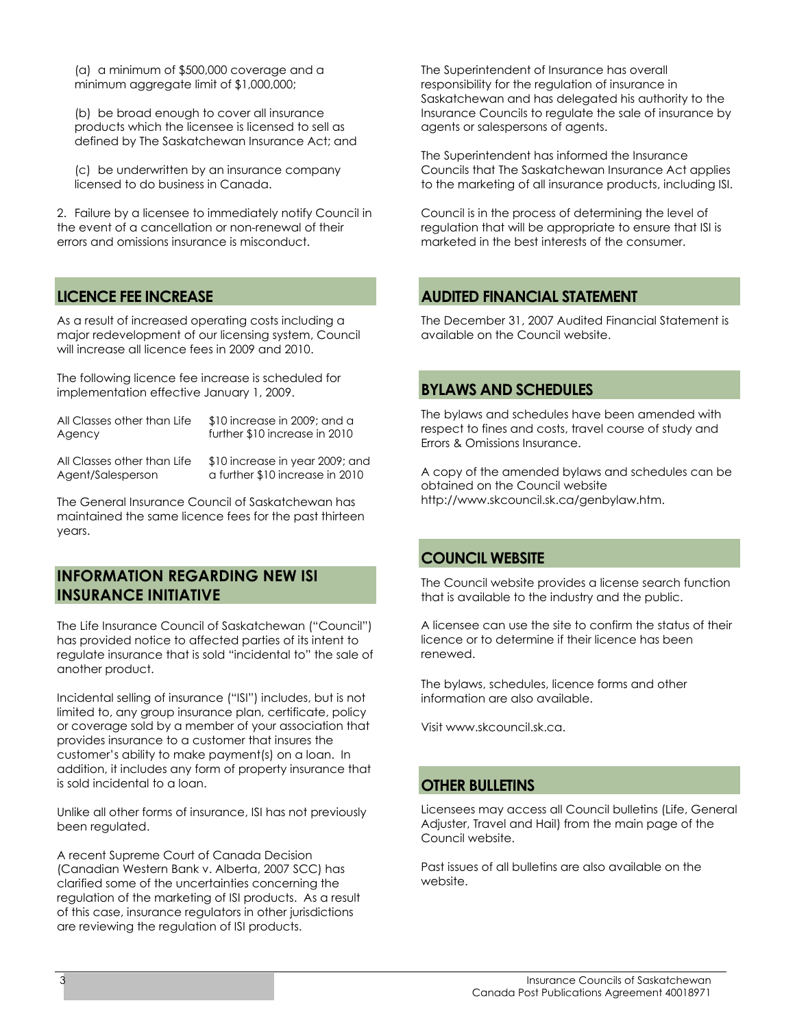(a) a minimum of \$500,000 coverage and a minimum aggregate limit of \$1,000,000;

(b) be broad enough to cover all insurance products which the licensee is licensed to sell as defined by The Saskatchewan Insurance Act; and

(c) be underwritten by an insurance company licensed to do business in Canada.

2. Failure by a licensee to immediately notify Council in the event of a cancellation or non-renewal of their errors and omissions insurance is misconduct.

# **LICENCE FEE INCREASE**

As a result of increased operating costs including a major redevelopment of our licensing system, Council will increase all licence fees in 2009 and 2010.

The following licence fee increase is scheduled for implementation effective January 1, 2009.

| All Classes other than Life | \$10 increase in 2009; and a    |
|-----------------------------|---------------------------------|
| Agency                      | further \$10 increase in 2010   |
| All Classes other than Life | \$10 increase in year 2009; and |

Agent/Salesperson a further \$10 increase in 2010

The General Insurance Council of Saskatchewan has maintained the same licence fees for the past thirteen years.

## **INFORMATION REGARDING NEW ISI INSURANCE INITIATIVE**

The Life Insurance Council of Saskatchewan ("Council") has provided notice to affected parties of its intent to regulate insurance that is sold "incidental to" the sale of another product.

Incidental selling of insurance ("ISI") includes, but is not limited to, any group insurance plan, certificate, policy or coverage sold by a member of your association that provides insurance to a customer that insures the customer's ability to make payment(s) on a loan. In addition, it includes any form of property insurance that is sold incidental to a loan.

Unlike all other forms of insurance, ISI has not previously been regulated.

A recent Supreme Court of Canada Decision (Canadian Western Bank v. Alberta, 2007 SCC) has clarified some of the uncertainties concerning the regulation of the marketing of ISI products. As a result of this case, insurance regulators in other jurisdictions are reviewing the regulation of ISI products.

The Superintendent of Insurance has overall responsibility for the regulation of insurance in Saskatchewan and has delegated his authority to the Insurance Councils to regulate the sale of insurance by agents or salespersons of agents.

The Superintendent has informed the Insurance Councils that The Saskatchewan Insurance Act applies to the marketing of all insurance products, including ISI.

Council is in the process of determining the level of regulation that will be appropriate to ensure that ISI is marketed in the best interests of the consumer.

# **AUDITED FINANCIAL STATEMENT**

The December 31, 2007 Audited Financial Statement is available on the Council website.

## **BYLAWS AND SCHEDULES**

The bylaws and schedules have been amended with respect to fines and costs, travel course of study and Errors & Omissions Insurance.

A copy of the amended bylaws and schedules can be obtained on the Council website http://www.skcouncil.sk.ca/genbylaw.htm.

## **COUNCIL WEBSITE**

The Council website provides a license search function that is available to the industry and the public.

A licensee can use the site to confirm the status of their licence or to determine if their licence has been renewed.

The bylaws, schedules, licence forms and other information are also available.

Visit www.skcouncil.sk.ca.

## **OTHER BULLETINS**

Licensees may access all Council bulletins (Life, General Adjuster, Travel and Hail) from the main page of the Council website.

Past issues of all bulletins are also available on the website.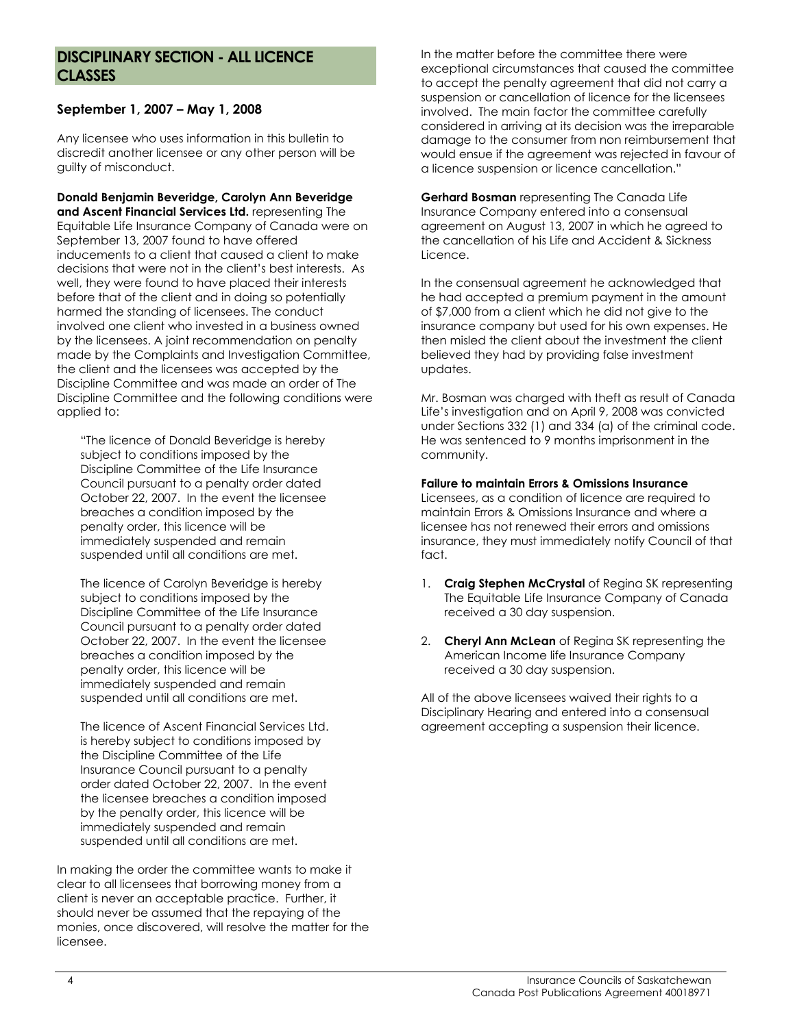## **DISCIPLINARY SECTION - ALL LICENCE CLASSES**

#### **September 1, 2007 – May 1, 2008**

Any licensee who uses information in this bulletin to discredit another licensee or any other person will be guilty of misconduct.

**Donald Benjamin Beveridge, Carolyn Ann Beveridge and Ascent Financial Services Ltd.** representing The Equitable Life Insurance Company of Canada were on September 13, 2007 found to have offered inducements to a client that caused a client to make decisions that were not in the client's best interests. As well, they were found to have placed their interests before that of the client and in doing so potentially harmed the standing of licensees. The conduct involved one client who invested in a business owned by the licensees. A joint recommendation on penalty made by the Complaints and Investigation Committee, the client and the licensees was accepted by the Discipline Committee and was made an order of The Discipline Committee and the following conditions were applied to:

"The licence of Donald Beveridge is hereby subject to conditions imposed by the Discipline Committee of the Life Insurance Council pursuant to a penalty order dated October 22, 2007. In the event the licensee breaches a condition imposed by the penalty order, this licence will be immediately suspended and remain suspended until all conditions are met.

The licence of Carolyn Beveridge is hereby subject to conditions imposed by the Discipline Committee of the Life Insurance Council pursuant to a penalty order dated October 22, 2007. In the event the licensee breaches a condition imposed by the penalty order, this licence will be immediately suspended and remain suspended until all conditions are met.

The licence of Ascent Financial Services Ltd. is hereby subject to conditions imposed by the Discipline Committee of the Life Insurance Council pursuant to a penalty order dated October 22, 2007. In the event the licensee breaches a condition imposed by the penalty order, this licence will be immediately suspended and remain suspended until all conditions are met.

In making the order the committee wants to make it clear to all licensees that borrowing money from a client is never an acceptable practice. Further, it should never be assumed that the repaying of the monies, once discovered, will resolve the matter for the licensee.

In the matter before the committee there were exceptional circumstances that caused the committee to accept the penalty agreement that did not carry a suspension or cancellation of licence for the licensees involved. The main factor the committee carefully considered in arriving at its decision was the irreparable damage to the consumer from non reimbursement that would ensue if the agreement was rejected in favour of a licence suspension or licence cancellation."

**Gerhard Bosman** representing The Canada Life Insurance Company entered into a consensual agreement on August 13, 2007 in which he agreed to the cancellation of his Life and Accident & Sickness Licence.

In the consensual agreement he acknowledged that he had accepted a premium payment in the amount of \$7,000 from a client which he did not give to the insurance company but used for his own expenses. He then misled the client about the investment the client believed they had by providing false investment updates.

Mr. Bosman was charged with theft as result of Canada Life's investigation and on April 9, 2008 was convicted under Sections 332 (1) and 334 (a) of the criminal code. He was sentenced to 9 months imprisonment in the community.

#### **Failure to maintain Errors & Omissions Insurance**

Licensees, as a condition of licence are required to maintain Errors & Omissions Insurance and where a licensee has not renewed their errors and omissions insurance, they must immediately notify Council of that fact.

- 1. **Craig Stephen McCrystal** of Regina SK representing The Equitable Life Insurance Company of Canada received a 30 day suspension.
- 2. **Cheryl Ann McLean** of Regina SK representing the American Income life Insurance Company received a 30 day suspension.

All of the above licensees waived their rights to a Disciplinary Hearing and entered into a consensual agreement accepting a suspension their licence.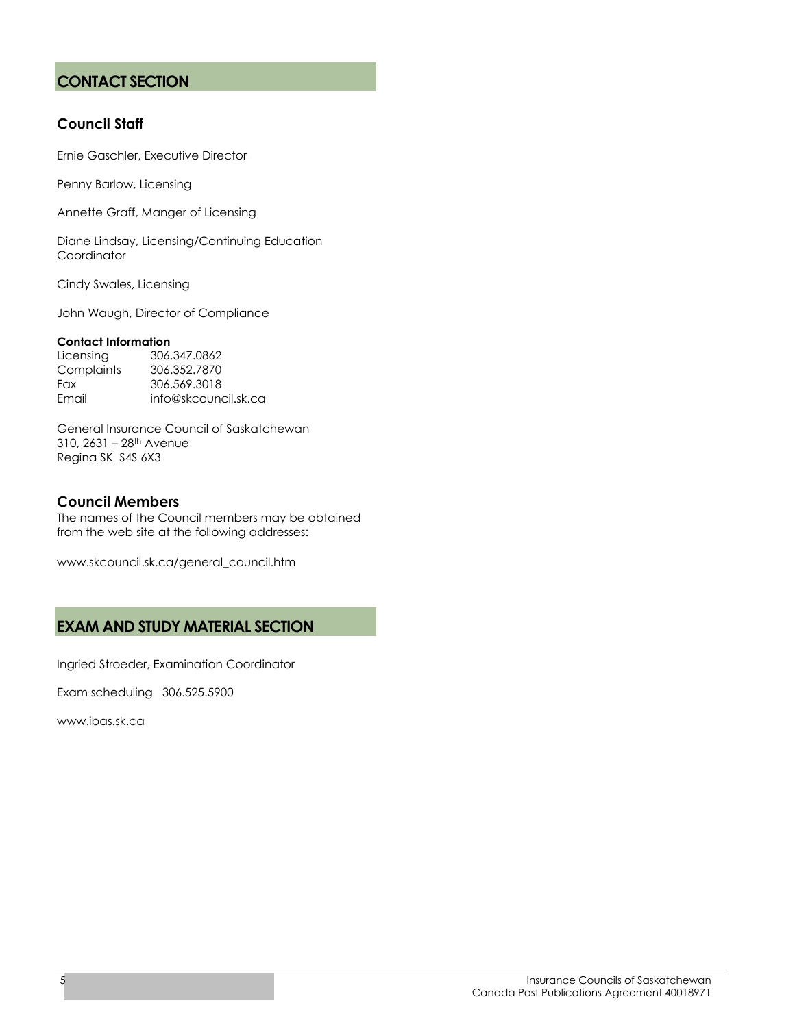# **CONTACT SECTION**

#### **Council Staff**

Ernie Gaschler, Executive Director

Penny Barlow, Licensing

Annette Graff, Manger of Licensing

Diane Lindsay, Licensing/Continuing Education Coordinator

Cindy Swales, Licensing

John Waugh, Director of Compliance

#### **Contact Information**

Licensing 306.347.0862 Complaints 306.352.7870 Fax 306.569.3018 Email info@skcouncil.sk.ca

General Insurance Council of Saskatchewan 310, 2631 – 28th Avenue Regina SK S4S 6X3

#### **Council Members**

The names of the Council members may be obtained from the web site at the following addresses:

www.skcouncil.sk.ca/general\_council.htm

## **EXAM AND STUDY MATERIAL SECTION**

Ingried Stroeder, Examination Coordinator

Exam scheduling 306.525.5900

www.ibas.sk.ca